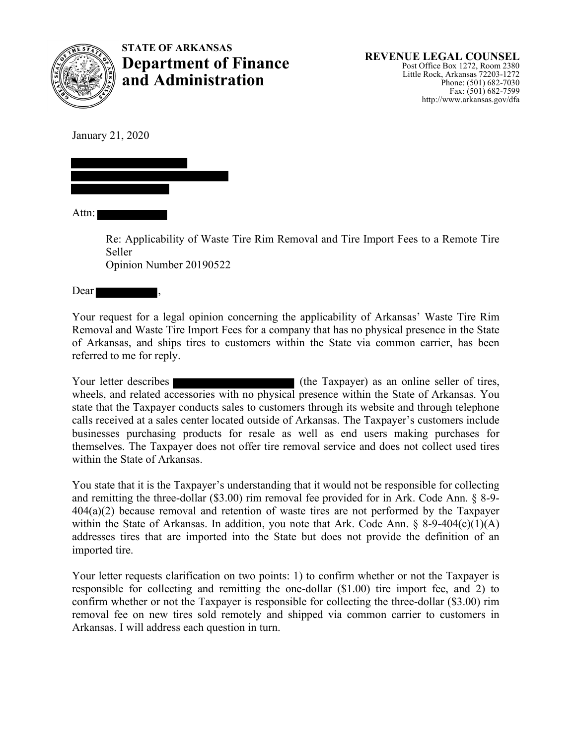

**STATE OF ARKANSAS Department of Finance REVENUE LEGAL COUNSEL**<br> **Post Office Box 1272, Room 2380**<br>
Little Rock, Arkansas 72203-1272 Little Rock, Arkansas 72203-1272 **and Administration** Phone: (501) 682-7030

January 21, 2020

Attn:

Re: Applicability of Waste Tire Rim Removal and Tire Import Fees to a Remote Tire Seller Opinion Number 20190522

Dear

Your request for a legal opinion concerning the applicability of Arkansas' Waste Tire Rim Removal and Waste Tire Import Fees for a company that has no physical presence in the State of Arkansas, and ships tires to customers within the State via common carrier, has been referred to me for reply.

Your letter describes (the Taxpayer) as an online seller of tires, wheels, and related accessories with no physical presence within the State of Arkansas. You state that the Taxpayer conducts sales to customers through its website and through telephone calls received at a sales center located outside of Arkansas. The Taxpayer's customers include businesses purchasing products for resale as well as end users making purchases for themselves. The Taxpayer does not offer tire removal service and does not collect used tires within the State of Arkansas.

You state that it is the Taxpayer's understanding that it would not be responsible for collecting and remitting the three-dollar  $(\$3.00)$  rim removal fee provided for in Ark. Code Ann.  $\S$  8-9-404(a)(2) because removal and retention of waste tires are not performed by the Taxpayer within the State of Arkansas. In addition, you note that Ark. Code Ann.  $\S$  8-9-404(c)(1)(A) addresses tires that are imported into the State but does not provide the definition of an imported tire.

Your letter requests clarification on two points: 1) to confirm whether or not the Taxpayer is responsible for collecting and remitting the one-dollar (\$1.00) tire import fee, and 2) to confirm whether or not the Taxpayer is responsible for collecting the three-dollar (\$3.00) rim removal fee on new tires sold remotely and shipped via common carrier to customers in Arkansas. I will address each question in turn.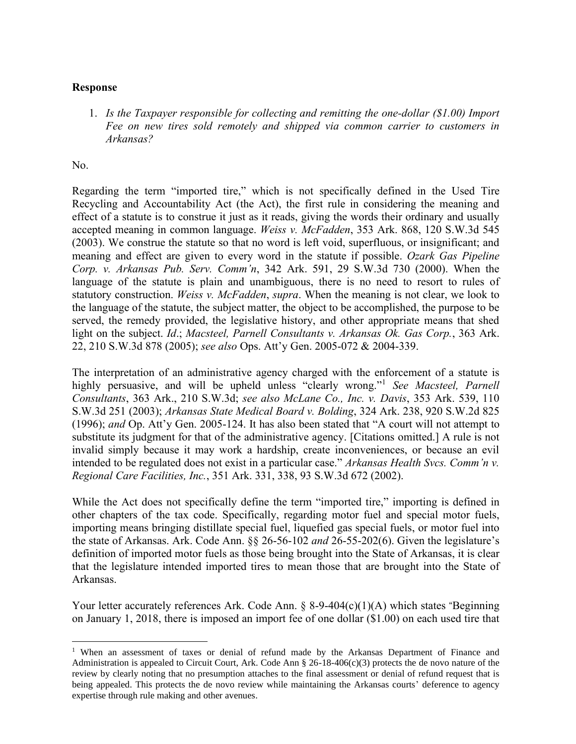## **Response**

1. *Is the Taxpayer responsible for collecting and remitting the one-dollar (\$1.00) Import Fee on new tires sold remotely and shipped via common carrier to customers in Arkansas?*

No.

Regarding the term "imported tire," which is not specifically defined in the Used Tire Recycling and Accountability Act (the Act), the first rule in considering the meaning and effect of a statute is to construe it just as it reads, giving the words their ordinary and usually accepted meaning in common language. *Weiss v. McFadden*, 353 Ark. 868, 120 S.W.3d 545 (2003). We construe the statute so that no word is left void, superfluous, or insignificant; and meaning and effect are given to every word in the statute if possible. *Ozark Gas Pipeline Corp. v. Arkansas Pub. Serv. Comm'n*, 342 Ark. 591, 29 S.W.3d 730 (2000). When the language of the statute is plain and unambiguous, there is no need to resort to rules of statutory construction. *Weiss v. McFadden*, *supra*. When the meaning is not clear, we look to the language of the statute, the subject matter, the object to be accomplished, the purpose to be served, the remedy provided, the legislative history, and other appropriate means that shed light on the subject. *Id*.; *Macsteel, Parnell Consultants v. Arkansas Ok. Gas Corp.*, 363 Ark. 22, 210 S.W.3d 878 (2005); *see also* Ops. Att'y Gen. 2005-072 & 2004-339.

The interpretation of an administrative agency charged with the enforcement of a statute is highly persuasive, and will be upheld unless "clearly wrong."<sup>1</sup> *See Macsteel, Parnell Consultants*, 363 Ark., 210 S.W.3d; *see also McLane Co., Inc. v. Davis*, 353 Ark. 539, 110 S.W.3d 251 (2003); *Arkansas State Medical Board v. Bolding*, 324 Ark. 238, 920 S.W.2d 825 (1996); *and* Op. Att'y Gen. 2005-124. It has also been stated that "A court will not attempt to substitute its judgment for that of the administrative agency. [Citations omitted.] A rule is not invalid simply because it may work a hardship, create inconveniences, or because an evil intended to be regulated does not exist in a particular case." *Arkansas Health Svcs. Comm'n v. Regional Care Facilities, Inc.*, 351 Ark. 331, 338, 93 S.W.3d 672 (2002).

While the Act does not specifically define the term "imported tire," importing is defined in other chapters of the tax code. Specifically, regarding motor fuel and special motor fuels, importing means bringing distillate special fuel, liquefied gas special fuels, or motor fuel into the state of Arkansas. Ark. Code Ann. §§ 26-56-102 *and* 26-55-202(6). Given the legislature's definition of imported motor fuels as those being brought into the State of Arkansas, it is clear that the legislature intended imported tires to mean those that are brought into the State of Arkansas.

Your letter accurately references Ark. Code Ann. § 8-9-404(c)(1)(A) which states "Beginning on January 1, 2018, there is imposed an import fee of one dollar (\$1.00) on each used tire that

<sup>&</sup>lt;sup>1</sup> When an assessment of taxes or denial of refund made by the Arkansas Department of Finance and Administration is appealed to Circuit Court, Ark. Code Ann § 26-18-406(c)(3) protects the de novo nature of the review by clearly noting that no presumption attaches to the final assessment or denial of refund request that is being appealed. This protects the de novo review while maintaining the Arkansas courts' deference to agency expertise through rule making and other avenues.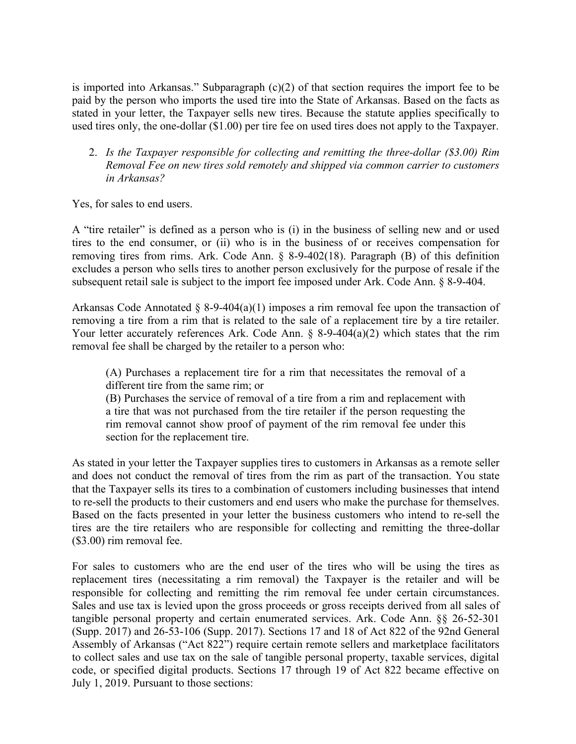is imported into Arkansas." Subparagraph (c)(2) of that section requires the import fee to be paid by the person who imports the used tire into the State of Arkansas. Based on the facts as stated in your letter, the Taxpayer sells new tires. Because the statute applies specifically to used tires only, the one-dollar (\$1.00) per tire fee on used tires does not apply to the Taxpayer.

2. *Is the Taxpayer responsible for collecting and remitting the three-dollar (\$3.00) Rim Removal Fee on new tires sold remotely and shipped via common carrier to customers in Arkansas?*

Yes, for sales to end users.

A "tire retailer" is defined as a person who is (i) in the business of selling new and or used tires to the end consumer, or (ii) who is in the business of or receives compensation for removing tires from rims. Ark. Code Ann. § 8-9-402(18). Paragraph (B) of this definition excludes a person who sells tires to another person exclusively for the purpose of resale if the subsequent retail sale is subject to the import fee imposed under Ark. Code Ann. § 8-9-404.

Arkansas Code Annotated § 8-9-404(a)(1) imposes a rim removal fee upon the transaction of removing a tire from a rim that is related to the sale of a replacement tire by a tire retailer. Your letter accurately references Ark. Code Ann. § 8-9-404(a)(2) which states that the rim removal fee shall be charged by the retailer to a person who:

(A) Purchases a replacement tire for a rim that necessitates the removal of a different tire from the same rim; or

(B) Purchases the service of removal of a tire from a rim and replacement with a tire that was not purchased from the tire retailer if the person requesting the rim removal cannot show proof of payment of the rim removal fee under this section for the replacement tire.

As stated in your letter the Taxpayer supplies tires to customers in Arkansas as a remote seller and does not conduct the removal of tires from the rim as part of the transaction. You state that the Taxpayer sells its tires to a combination of customers including businesses that intend to re-sell the products to their customers and end users who make the purchase for themselves. Based on the facts presented in your letter the business customers who intend to re-sell the tires are the tire retailers who are responsible for collecting and remitting the three-dollar (\$3.00) rim removal fee.

For sales to customers who are the end user of the tires who will be using the tires as replacement tires (necessitating a rim removal) the Taxpayer is the retailer and will be responsible for collecting and remitting the rim removal fee under certain circumstances. Sales and use tax is levied upon the gross proceeds or gross receipts derived from all sales of tangible personal property and certain enumerated services. Ark. Code Ann. §§ 26-52-301 (Supp. 2017) and 26-53-106 (Supp. 2017). Sections 17 and 18 of Act 822 of the 92nd General Assembly of Arkansas ("Act 822") require certain remote sellers and marketplace facilitators to collect sales and use tax on the sale of tangible personal property, taxable services, digital code, or specified digital products. Sections 17 through 19 of Act 822 became effective on July 1, 2019. Pursuant to those sections: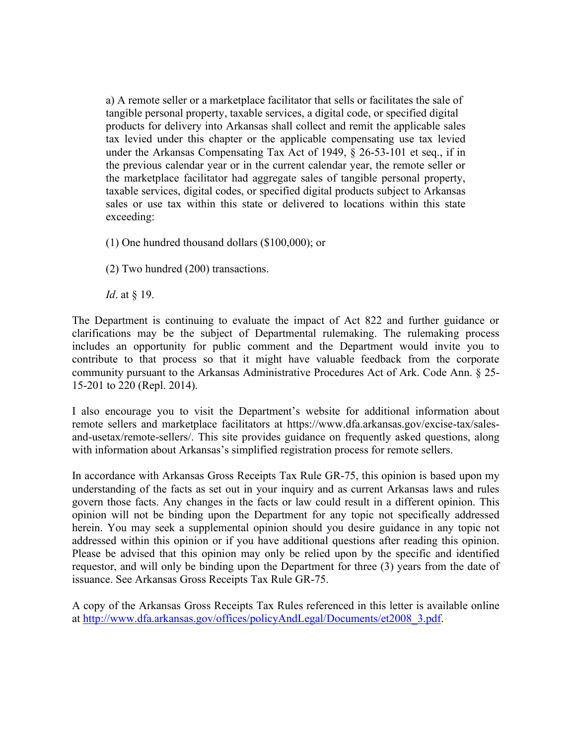a) A remote seller or a marketplace facilitator that sells or facilitates the sale of tangible personal property, taxable services, a digital code, or specified digital products for delivery into Arkansas shall collect and remit the applicable sales tax levied under this chapter or the applicable compensating use tax levied under the Arkansas Compensating Tax Act of 1949, § 26-53-101 et seq., if in the previous calendar year or in the current calendar year, the remote seller or the marketplace facilitator had aggregate sales of tangible personal property, taxable services, digital codes, or specified digital products subject to Arkansas sales or use tax within this state or delivered to locations within this state exceeding:

- (1) One hundred thousand dollars (\$100,000); or
- (2) Two hundred (200) transactions.

*Id*. at § 19.

The Department is continuing to evaluate the impact of Act 822 and further guidance or clarifications may be the subject of Departmental rulemaking. The rulemaking process includes an opportunity for public comment and the Department would invite you to contribute to that process so that it might have valuable feedback from the corporate community pursuant to the Arkansas Administrative Procedures Act of Ark. Code Ann. § 25- 15-201 to 220 (Repl. 2014).

I also encourage you to visit the Department's website for additional information about remote sellers and marketplace facilitators at https://www.dfa.arkansas.gov/excise-tax/salesand-usetax/remote-sellers/. This site provides guidance on frequently asked questions, along with information about Arkansas's simplified registration process for remote sellers.

In accordance with Arkansas Gross Receipts Tax Rule GR-75, this opinion is based upon my understanding of the facts as set out in your inquiry and as current Arkansas laws and rules govern those facts. Any changes in the facts or law could result in a different opinion. This opinion will not be binding upon the Department for any topic not specifically addressed herein. You may seek a supplemental opinion should you desire guidance in any topic not addressed within this opinion or if you have additional questions after reading this opinion. Please be advised that this opinion may only be relied upon by the specific and identified requestor, and will only be binding upon the Department for three (3) years from the date of issuance. See Arkansas Gross Receipts Tax Rule GR-75.

A copy of the Arkansas Gross Receipts Tax Rules referenced in this letter is available online at http://www.dfa.arkansas.gov/offices/policyAndLegal/Documents/et2008 3.pdf.